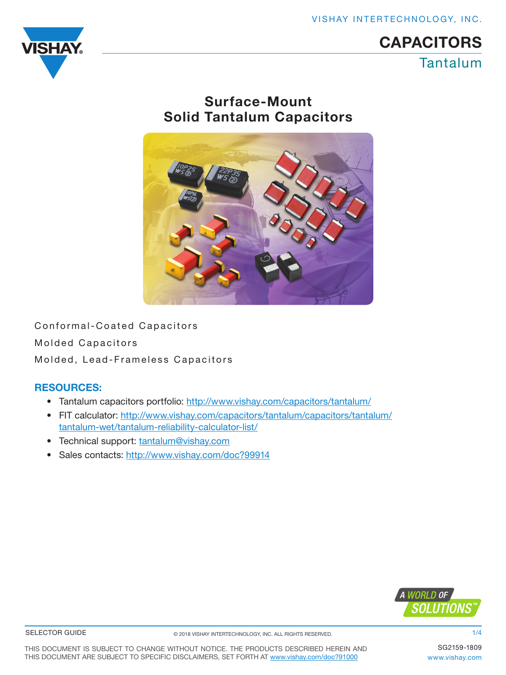VISHAY INTERTECHNOLOGY, INC.



# Tantalum **CAPACITORS**

## Surface-Mount Solid Tantalum Capacitors



Conformal-Coated Capacitors Molded Capacitors Molded, Lead-Frameless Capacitors

## RESOURCES:

- Tantalum capacitors portfolio: [http://www.vishay.com/capacitors/tantalum/](http://www.vishay.com/doc?40012)
- FIT calculator: [http://www.vishay.com/capacitors/tantalum/capacitors/tantalum/](http://www.vishay.com/doc?40065) [tantalum-wet/tantalum-reliability-calculator-list/](http://www.vishay.com/doc?40065)
- Technical support: [tantalum@vishay.com](http://www.vishay.com/doc?40080)
- Sales contacts: http://www.vishay.com/doc?99914



#### SELECTOR GUIDE

1/4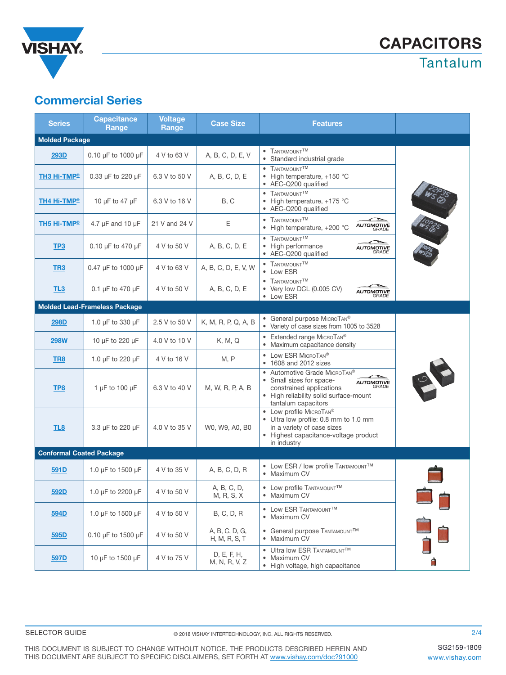

## Commercial Series

| <b>Series</b>                        | <b>Capacitance</b><br>Range  | <b>Voltage</b><br>Range | <b>Case Size</b>                | <b>Features</b>                                                                                                                                                                       |  |  |  |  |  |  |
|--------------------------------------|------------------------------|-------------------------|---------------------------------|---------------------------------------------------------------------------------------------------------------------------------------------------------------------------------------|--|--|--|--|--|--|
| <b>Molded Package</b>                |                              |                         |                                 |                                                                                                                                                                                       |  |  |  |  |  |  |
| 293D                                 | 0.10 $\mu$ F to 1000 $\mu$ F | 4 V to 63 V             | A, B, C, D, E, V                | • TANTAMOUNT <sup>TM</sup><br>Standard industrial grade                                                                                                                               |  |  |  |  |  |  |
| TH3 Hi-TMP®                          | 0.33 µF to 220 µF            | 6.3 V to 50 V           | A, B, C, D, E                   | TANTAMOUNT <sup>TM</sup><br>• High temperature, +150 °C<br>• AEC-Q200 qualified                                                                                                       |  |  |  |  |  |  |
| TH4 Hi-TMP®                          | 10 µF to 47 µF               | 6.3 V to 16 V           | B, C                            | • TANTAMOUNT <sup>TM</sup><br>• High temperature, +175 °C<br>• AEC-Q200 qualified                                                                                                     |  |  |  |  |  |  |
| <b>TH5 Hi-TMP®</b>                   | 4.7 $\mu$ F and 10 $\mu$ F   | 21 V and 24 V           | Е                               | • TANTAMOUNT <sup>TM</sup><br><b>AUTOMOTIVE</b><br>GRADE<br>• High temperature, +200 °C                                                                                               |  |  |  |  |  |  |
| TP3                                  | 0.10 µF to 470 µF            | 4 V to 50 V             | A, B, C, D, E                   | • TANTAMOUNT <sup>TM</sup><br>• High performance<br><b>AUTOMOTIVE</b><br>GRADE<br>• AEC-Q200 qualified                                                                                |  |  |  |  |  |  |
| TR <sub>3</sub>                      | 0.47 µF to 1000 µF           | 4 V to 63 V             | A, B, C, D, E, V, W             | • TANTAMOUNT <sup>TM</sup><br>• Low ESR                                                                                                                                               |  |  |  |  |  |  |
| TL <sub>3</sub>                      | 0.1 $\mu$ F to 470 $\mu$ F   | 4 V to 50 V             | A, B, C, D, E                   | • TANTAMOUNT <sup>TM</sup><br>• Very low DCL (0.005 CV)<br><b>AUTOMOTIVE</b><br>GRADE<br>• Low ESR                                                                                    |  |  |  |  |  |  |
| <b>Molded Lead-Frameless Package</b> |                              |                         |                                 |                                                                                                                                                                                       |  |  |  |  |  |  |
| <b>298D</b>                          | 1.0 µF to 330 µF             | 2.5 V to 50 V           | K, M, R, P, Q, A, B             | • General purpose MICROTAN <sup>®</sup><br>• Variety of case sizes from 1005 to 3528                                                                                                  |  |  |  |  |  |  |
| 298W                                 | 10 µF to 220 µF              | 4.0 V to 10 V           | K, M, Q                         | • Extended range MICROTAN®<br>• Maximum capacitance density                                                                                                                           |  |  |  |  |  |  |
| TR <sub>8</sub>                      | 1.0 µF to 220 µF             | 4 V to 16 V             | M, P                            | • Low ESR MICROTAN®<br>1608 and 2012 sizes                                                                                                                                            |  |  |  |  |  |  |
| TP8                                  | 1 $\mu$ F to 100 $\mu$ F     | 6.3 V to 40 V           | M, W, R, P, A, B                | Automotive Grade MICROTAN®<br>$\bullet$<br>• Small sizes for space-<br><b>AUTOMOTIVE</b><br>constrained applications<br>• High reliability solid surface-mount<br>tantalum capacitors |  |  |  |  |  |  |
| TL <sub>8</sub>                      | 3.3 µF to 220 µF             | 4.0 V to 35 V           | W0, W9, A0, B0                  | • Low profile MICROTAN®<br>• Ultra low profile: 0.8 mm to 1.0 mm<br>in a variety of case sizes<br>• Highest capacitance-voltage product<br>in industry                                |  |  |  |  |  |  |
| <b>Conformal Coated Package</b>      |                              |                         |                                 |                                                                                                                                                                                       |  |  |  |  |  |  |
| 591D                                 | 1.0 µF to 1500 µF            | 4 V to 35 V             | A, B, C, D, R                   | • Low ESR / low profile TANTAMOUNTTM<br>• Maximum CV                                                                                                                                  |  |  |  |  |  |  |
| 592D                                 | 1.0 µF to 2200 µF            | 4 V to 50 V             | A, B, C, D,<br>M, R, S, X       | • Low profile TANTAMOUNTTM<br>• Maximum CV                                                                                                                                            |  |  |  |  |  |  |
| 594D                                 | 1.0 µF to 1500 µF            | 4 V to 50 V             | <b>B, C, D, R</b>               | • LOW ESR TANTAMOUNTTM<br>• Maximum CV                                                                                                                                                |  |  |  |  |  |  |
| 595D                                 | 0.10 µF to 1500 µF           | 4 V to 50 V             | A, B, C, D, G,<br>H, M, R, S, T | • General purpose TANTAMOUNTTM<br>• Maximum CV                                                                                                                                        |  |  |  |  |  |  |
| 597D                                 | 10 µF to 1500 µF             | 4 V to 75 V             | D, E, F, H,<br>M, N, R, V, Z    | • Ultra low ESR TANTAMOUNTTM<br>• Maximum CV<br>• High voltage, high capacitance                                                                                                      |  |  |  |  |  |  |

THIS DOCUMENT IS SUBJECT TO CHANGE WITHOUT NOTICE. THE PRODUCTS DESCRIBED HEREIN AND THIS DOCUMENT ARE SUBJECT TO SPECIFIC DISCLAIMERS, SET FORTH AT [www.vishay.com/doc?91000](http://www.vishay.com/doc?91000)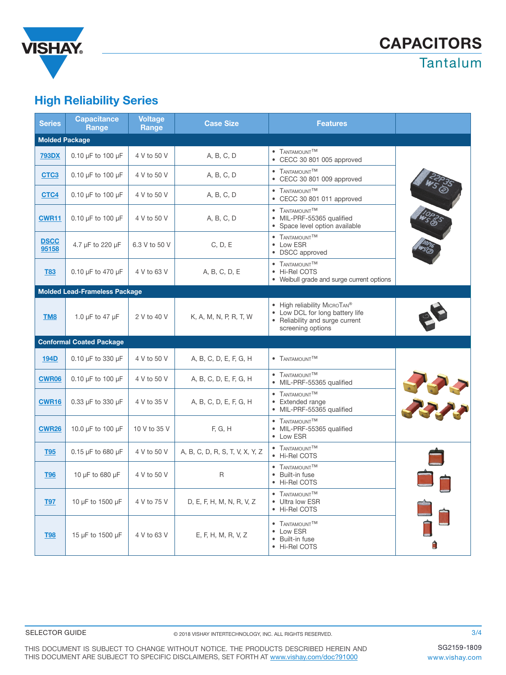

## High Reliability Series

| <b>Series</b>         | <b>Capacitance</b><br>Range          | <b>Voltage</b><br>Range | Case Size                       | <b>Features</b>                                                                                                                     |      |  |  |  |  |  |
|-----------------------|--------------------------------------|-------------------------|---------------------------------|-------------------------------------------------------------------------------------------------------------------------------------|------|--|--|--|--|--|
| <b>Molded Package</b> |                                      |                         |                                 |                                                                                                                                     |      |  |  |  |  |  |
| <b>793DX</b>          | $0.10 \mu F$ to $100 \mu F$          | 4 V to 50 V             | A, B, C, D                      | • TANTAMOUNT <sup>TM</sup><br>• CECC 30 801 005 approved                                                                            |      |  |  |  |  |  |
| CTC <sub>3</sub>      | 0.10 µF to 100 µF                    | 4 V to 50 V             | A, B, C, D                      | • TANTAMOUNT <sup>TM</sup><br>• CECC 30 801 009 approved                                                                            |      |  |  |  |  |  |
| CTC4                  | 0.10 µF to 100 µF                    | 4 V to 50 V             | A, B, C, D                      | • TANTAMOUNT <sup>TM</sup><br>• CECC 30 801 011 approved                                                                            |      |  |  |  |  |  |
| <b>CWR11</b>          | 0.10 µF to 100 µF                    | 4 V to 50 V             | A, B, C, D                      | • TANTAMOUNTTM<br>· MIL-PRF-55365 qualified<br>• Space level option available                                                       |      |  |  |  |  |  |
| <b>DSCC</b><br>95158  | 4.7 µF to 220 µF                     | 6.3 V to 50 V           | C, D, E                         | • TANTAMOUNT <sup>TM</sup><br>• Low ESR<br>• DSCC approved                                                                          |      |  |  |  |  |  |
| <b>T83</b>            | 0.10 µF to 470 µF                    | 4 V to 63 V             | A, B, C, D, E                   | • TANTAMOUNT <sup>TM</sup><br>• Hi-Rel COTS<br>• Weibull grade and surge current options                                            |      |  |  |  |  |  |
|                       | <b>Molded Lead-Frameless Package</b> |                         |                                 |                                                                                                                                     |      |  |  |  |  |  |
| TM <sub>8</sub>       | 1.0 µF to 47 µF                      | 2 V to 40 V             | K, A, M, N, P, R, T, W          | • High reliability MICROTAN <sup>®</sup><br>• Low DCL for long battery life<br>• Reliability and surge current<br>screening options |      |  |  |  |  |  |
|                       | <b>Conformal Coated Package</b>      |                         |                                 |                                                                                                                                     |      |  |  |  |  |  |
| <b>194D</b>           | 0.10 µF to 330 µF                    | 4 V to 50 V             | A, B, C, D, E, F, G, H          | • TANTAMOUNT <sup>TM</sup>                                                                                                          |      |  |  |  |  |  |
| <b>CWR06</b>          | 0.10 µF to 100 µF                    | 4 V to 50 V             | A, B, C, D, E, F, G, H          | • TANTAMOUNT <sup>TM</sup><br>· MIL-PRF-55365 qualified                                                                             |      |  |  |  |  |  |
| CWR16                 | 0.33 µF to 330 µF                    | 4 V to 35 V             | A, B, C, D, E, F, G, H          | • TANTAMOUNT <sup>TM</sup><br>• Extended range<br>· MIL-PRF-55365 qualified                                                         | 3777 |  |  |  |  |  |
| <b>CWR26</b>          | 10.0 µF to 100 µF                    | 10 V to 35 V            | F, G, H                         | • TANTAMOUNT <sup>TM</sup><br>· MIL-PRF-55365 qualified<br>• Low ESR                                                                |      |  |  |  |  |  |
| <b>T95</b>            | 0.15 µF to 680 µF                    | 4 V to 50 V             | A, B, C, D, R, S, T, V, X, Y, Z | • TANTAMOUNTTM<br>• Hi-Rel COTS                                                                                                     |      |  |  |  |  |  |
| <b>T96</b>            | 10 µF to 680 µF                      | 4 V to 50 V             | R                               | • TANTAMOUNTTM<br>• Built-in fuse<br>• Hi-Rel COTS                                                                                  |      |  |  |  |  |  |
| <b>T97</b>            | 10 µF to 1500 µF                     | 4 V to 75 V             | D, E, F, H, M, N, R, V, Z       | • TANTAMOUNT <sup>TM</sup><br>• Ultra low ESR<br>• Hi-Rel COTS                                                                      |      |  |  |  |  |  |
| <b>T98</b>            | 15 µF to 1500 µF                     | 4 V to 63 V             | E, F, H, M, R, V, Z             | • TANTAMOUNTTM<br>• Low ESR<br>• Built-in fuse<br>• Hi-Rel COTS                                                                     |      |  |  |  |  |  |

THIS DOCUMENT IS SUBJECT TO CHANGE WITHOUT NOTICE. THE PRODUCTS DESCRIBED HEREIN AND THIS DOCUMENT ARE SUBJECT TO SPECIFIC DISCLAIMERS, SET FORTH AT [www.vishay.com/doc?91000](http://www.vishay.com/doc?91000)